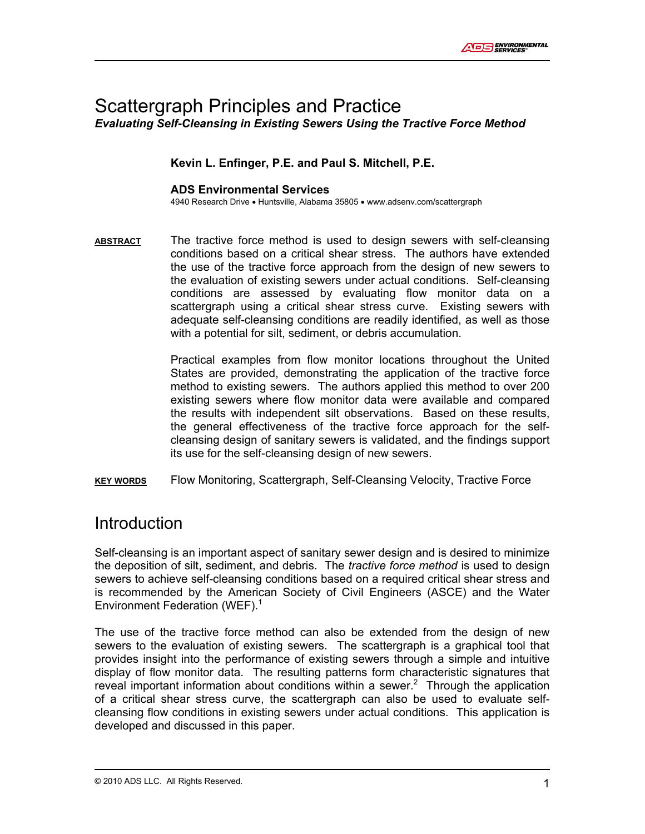#### Scattergraph Principles and Practice *Evaluating Self-Cleansing in Existing Sewers Using the Tractive Force Method*

#### **Kevin L. Enfinger, P.E. and Paul S. Mitchell, P.E.**

#### **ADS Environmental Services**

4940 Research Drive • Huntsville, Alabama 35805 • www.adsenv.com/scattergraph

**ABSTRACT** The tractive force method is used to design sewers with self-cleansing conditions based on a critical shear stress. The authors have extended the use of the tractive force approach from the design of new sewers to the evaluation of existing sewers under actual conditions. Self-cleansing conditions are assessed by evaluating flow monitor data on a scattergraph using a critical shear stress curve. Existing sewers with adequate self-cleansing conditions are readily identified, as well as those with a potential for silt, sediment, or debris accumulation.

> Practical examples from flow monitor locations throughout the United States are provided, demonstrating the application of the tractive force method to existing sewers. The authors applied this method to over 200 existing sewers where flow monitor data were available and compared the results with independent silt observations. Based on these results, the general effectiveness of the tractive force approach for the selfcleansing design of sanitary sewers is validated, and the findings support its use for the self-cleansing design of new sewers.

**KEY WORDS** Flow Monitoring, Scattergraph, Self-Cleansing Velocity, Tractive Force

### **Introduction**

Self-cleansing is an important aspect of sanitary sewer design and is desired to minimize the deposition of silt, sediment, and debris. The *tractive force method* is used to design sewers to achieve self-cleansing conditions based on a required critical shear stress and is recommended by the American Society of Civil Engineers (ASCE) and the Water Environment Federation (WEF).<sup>1</sup>

The use of the tractive force method can also be extended from the design of new sewers to the evaluation of existing sewers. The scattergraph is a graphical tool that provides insight into the performance of existing sewers through a simple and intuitive display of flow monitor data. The resulting patterns form characteristic signatures that reveal important information about conditions within a sewer.<sup>2</sup> Through the application of a critical shear stress curve, the scattergraph can also be used to evaluate selfcleansing flow conditions in existing sewers under actual conditions. This application is developed and discussed in this paper.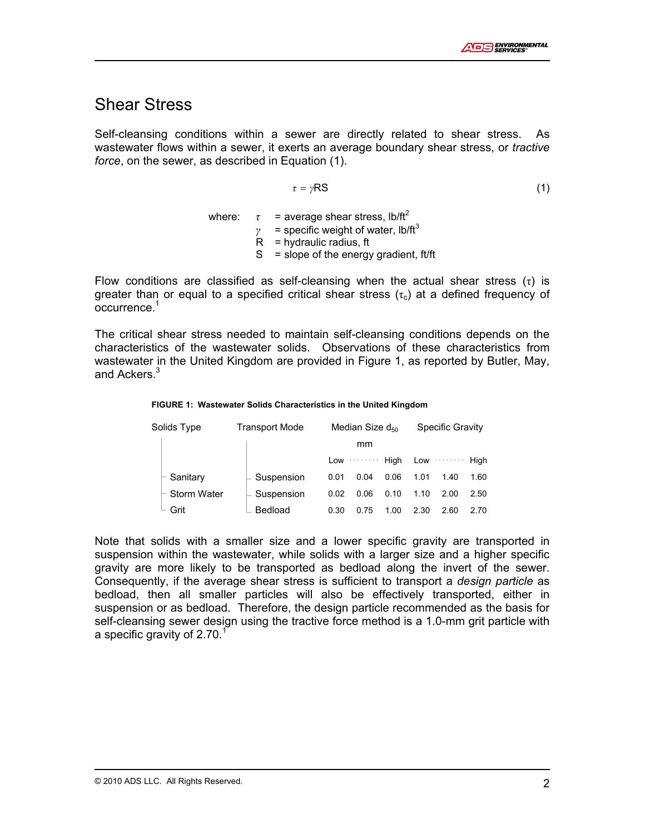## Shear Stress

Self-cleansing conditions within a sewer are directly related to shear stress. As wastewater flows within a sewer, it exerts an average boundary shear stress, or *tractive force*, on the sewer, as described in Equation (1).

$$
\tau = \gamma RS \tag{1}
$$

| where: | $\tau$ | = average shear stress, $\text{lb/ft}^2$  |
|--------|--------|-------------------------------------------|
|        |        | = specific weight of water, $lb/ft3$      |
|        | R      | = hydraulic radius, ft                    |
|        |        | $S = slope of the energy gradient, ft/ft$ |

Flow conditions are classified as self-cleansing when the actual shear stress  $(\tau)$  is greater than or equal to a specified critical shear stress  $(\tau_c)$  at a defined frequency of occurrence.<sup>1</sup>

The critical shear stress needed to maintain self-cleansing conditions depends on the characteristics of the wastewater solids. Observations of these characteristics from wastewater in the United Kingdom are provided in Figure 1, as reported by Butler, May, and Ackers.<sup>3</sup>

| Solids Type |                    | <b>Transport Mode</b> | Median Size d <sub>50</sub> |                                                       |      | Specific Gravity |          |      |
|-------------|--------------------|-----------------------|-----------------------------|-------------------------------------------------------|------|------------------|----------|------|
|             |                    |                       |                             | mm                                                    |      |                  |          |      |
|             |                    |                       | Low                         | $\alpha$ , and $\alpha$ , and $\alpha$ , and $\alpha$ | Hiah |                  | Low High |      |
|             | Sanitary           | Suspension            | 0.01                        | 0.04                                                  | 0.06 | 1.01             | 1.40     | 1.60 |
|             | <b>Storm Water</b> | Suspension            | 0.02                        | 0.06                                                  | 0.10 | 1.10             | 2.00     | 2.50 |
|             | Grit               | Bedload               | 0.30                        | 0.75                                                  | 1.00 | 2.30             | 2.60     | 2.70 |

Note that solids with a smaller size and a lower specific gravity are transported in suspension within the wastewater, while solids with a larger size and a higher specific gravity are more likely to be transported as bedload along the invert of the sewer. Consequently, if the average shear stress is sufficient to transport a *design particle* as bedload, then all smaller particles will also be effectively transported, either in suspension or as bedload. Therefore, the design particle recommended as the basis for self-cleansing sewer design using the tractive force method is a 1.0-mm grit particle with a specific gravity of  $2.70<sup>1</sup>$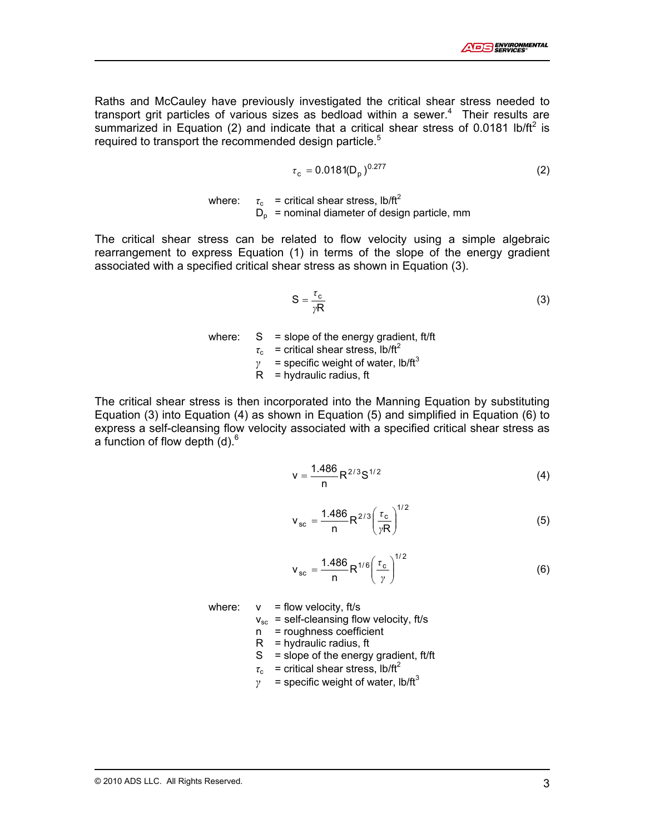Raths and McCauley have previously investigated the critical shear stress needed to transport grit particles of various sizes as bedload within a sewer. $4$  Their results are summarized in Equation (2) and indicate that a critical shear stress of 0.0181 lb/ft<sup>2</sup> is required to transport the recommended design particle.<sup>5</sup>

$$
\tau_{\rm c} = 0.0181(D_{\rm p})^{0.277} \tag{2}
$$

where:  $\tau_c$  = critical shear stress, lb/ft<sup>2</sup>  $D_p$  = nominal diameter of design particle, mm

The critical shear stress can be related to flow velocity using a simple algebraic rearrangement to express Equation (1) in terms of the slope of the energy gradient associated with a specified critical shear stress as shown in Equation (3).

$$
S = \frac{\tau_c}{\gamma R}
$$
 (3)

where:  $S = slope of the energy gradient, ft/ft$  $\tau_c$  = critical shear stress, lb/ft<sup>2</sup> *γ* = specific weight of water, lb/ft<sup>3</sup>  $R = h$ ydraulic radius, ft

The critical shear stress is then incorporated into the Manning Equation by substituting Equation (3) into Equation (4) as shown in Equation (5) and simplified in Equation (6) to express a self-cleansing flow velocity associated with a specified critical shear stress as a function of flow depth  $(d)$ .<sup>6</sup>

$$
v = \frac{1.486}{n} R^{2/3} S^{1/2}
$$
 (4)

$$
v_{sc} = \frac{1.486}{n} R^{2/3} \left(\frac{\tau_c}{\gamma R}\right)^{1/2}
$$
 (5)

$$
V_{sc} = \frac{1.486}{n} R^{1/6} \left(\frac{\tau_c}{\gamma}\right)^{1/2}
$$
 (6)

- where:  $v = flow$  velocity, ft/s
	- $v_{\rm sc}$  = self-cleansing flow velocity, ft/s
	- n = roughness coefficient
	- $R =$  hydraulic radius, ft
	- $S = slope of the energy gradient, ft/ft$
	- $\tau_c$  = critical shear stress, lb/ft<sup>2</sup>
	- *γ* = specific weight of water, lb/ft<sup>3</sup>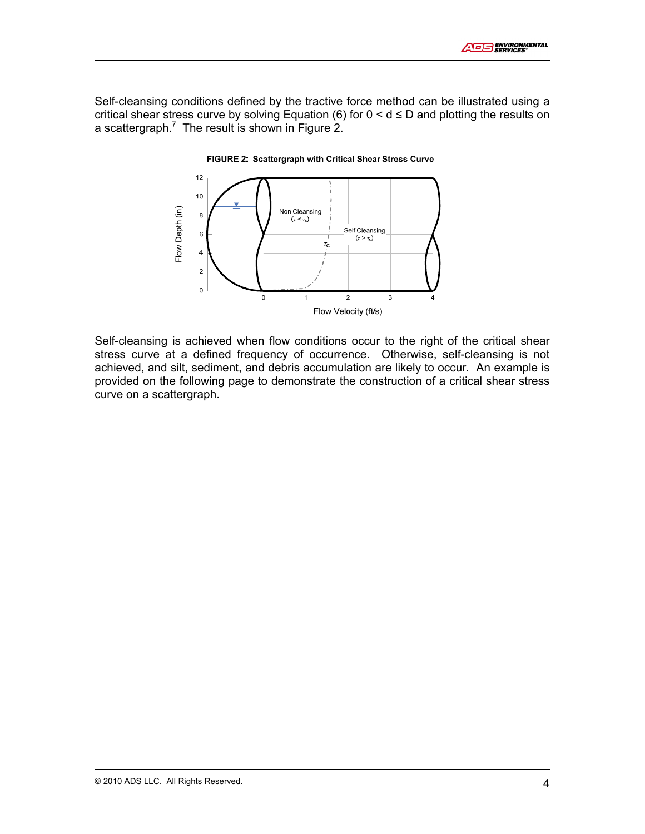Self-cleansing conditions defined by the tractive force method can be illustrated using a critical shear stress curve by solving Equation (6) for  $0 < d \le D$  and plotting the results on a scattergraph.<sup>7</sup> The result is shown in Figure 2.



FIGURE 2: Scattergraph with Critical Shear Stress Curve

Self-cleansing is achieved when flow conditions occur to the right of the critical shear stress curve at a defined frequency of occurrence. Otherwise, self-cleansing is not achieved, and silt, sediment, and debris accumulation are likely to occur. An example is provided on the following page to demonstrate the construction of a critical shear stress curve on a scattergraph.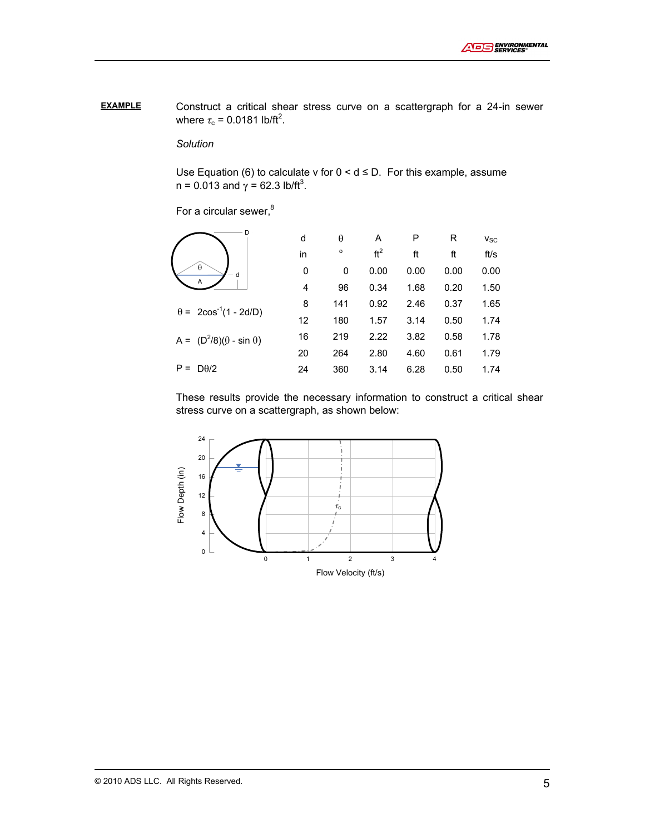**EXAMPLE** Construct a critical shear stress curve on a scattergraph for a 24-in sewer where  $\tau_c$  = 0.0181 lb/ft<sup>2</sup>.

*Solution*

Use Equation (6) to calculate v for  $0 < d \le D$ . For this example, assume n = 0.013 and  $\gamma$  = 62.3 lb/ft<sup>3</sup>.

For a circular sewer, $8$ 

| D.                                  |    |          |                 |      |      |                       |
|-------------------------------------|----|----------|-----------------|------|------|-----------------------|
|                                     | d  | $\theta$ | A               | Ρ    | R    | <b>V<sub>SC</sub></b> |
|                                     | in | o        | ft <sup>2</sup> | ft   | ft   | ft/s                  |
| $\theta$<br>d                       | 0  | 0        | 0.00            | 0.00 | 0.00 | 0.00                  |
| A                                   | 4  | 96       | 0.34            | 1.68 | 0.20 | 1.50                  |
| $\theta = 2\cos^{-1}(1 - 2d/D)$     | 8  | 141      | 0.92            | 2.46 | 0.37 | 1.65                  |
|                                     | 12 | 180      | 1.57            | 3.14 | 0.50 | 1.74                  |
| A = $(D^2/8)(\theta - \sin \theta)$ | 16 | 219      | 2.22            | 3.82 | 0.58 | 1.78                  |
|                                     | 20 | 264      | 2.80            | 4.60 | 0.61 | 1.79                  |
| $D\theta/2$<br>P<br>$\equiv$        | 24 | 360      | 3.14            | 6.28 | 0.50 | 1.74                  |

These results provide the necessary information to construct a critical shear stress curve on a scattergraph, as shown below:

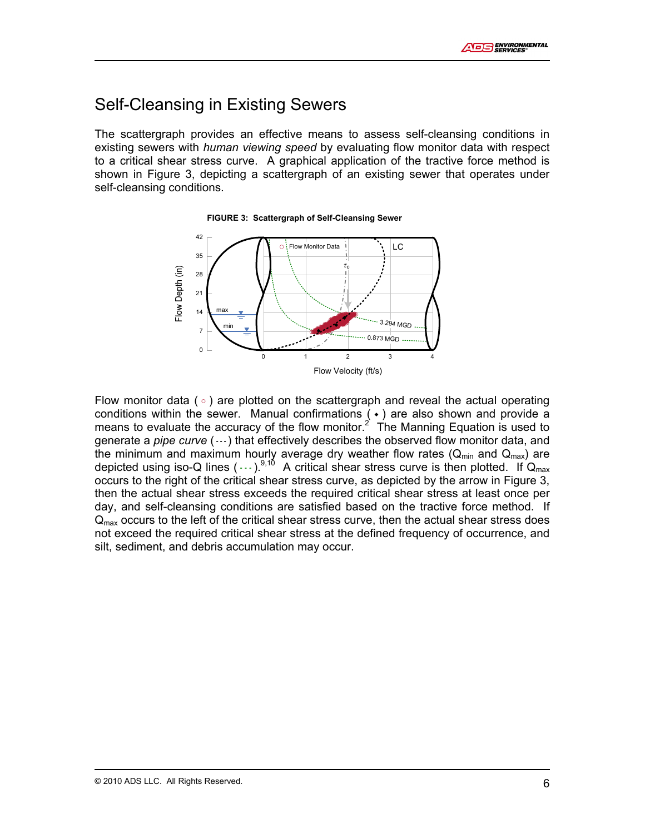## Self-Cleansing in Existing Sewers

The scattergraph provides an effective means to assess self-cleansing conditions in existing sewers with *human viewing speed* by evaluating flow monitor data with respect to a critical shear stress curve. A graphical application of the tractive force method is shown in Figure 3, depicting a scattergraph of an existing sewer that operates under self-cleansing conditions.



**FIGURE 3: Scattergraph of Self-Cleansing Sewer**

Flow monitor data ( $\circ$ ) are plotted on the scattergraph and reveal the actual operating conditions within the sewer. Manual confirmations  $( \cdot )$  are also shown and provide a means to evaluate the accuracy of the flow monitor.<sup>2</sup> The Manning Equation is used to generate a *pipe curve* ( $\cdots$ ) that effectively describes the observed flow monitor data, and the minimum and maximum hourly average dry weather flow rates ( $Q_{min}$  and  $Q_{max}$ ) are depicted using iso-Q lines (...).<sup>9,10</sup> A critical shear stress curve is then plotted. If Q<sub>max</sub> occurs to the right of the critical shear stress curve, as depicted by the arrow in Figure 3, then the actual shear stress exceeds the required critical shear stress at least once per day, and self-cleansing conditions are satisfied based on the tractive force method. If  $Q<sub>max</sub>$  occurs to the left of the critical shear stress curve, then the actual shear stress does not exceed the required critical shear stress at the defined frequency of occurrence, and silt, sediment, and debris accumulation may occur.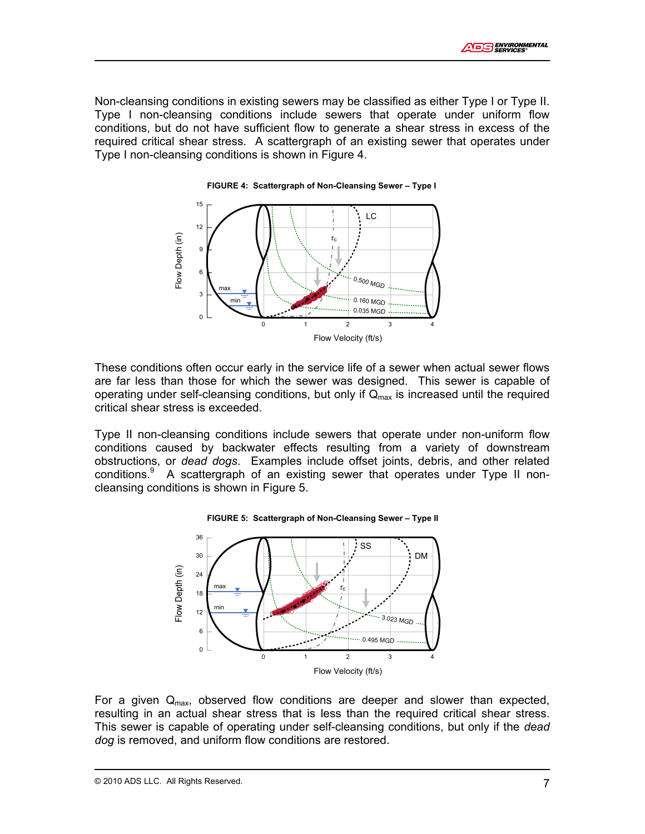Non-cleansing conditions in existing sewers may be classified as either Type I or Type II. Type I non-cleansing conditions include sewers that operate under uniform flow conditions, but do not have sufficient flow to generate a shear stress in excess of the required critical shear stress. A scattergraph of an existing sewer that operates under Type I non-cleansing conditions is shown in Figure 4.



**FIGURE 4: Scattergraph of Non-Cleansing Sewer – Type I**

These conditions often occur early in the service life of a sewer when actual sewer flows are far less than those for which the sewer was designed. This sewer is capable of operating under self-cleansing conditions, but only if  $Q<sub>max</sub>$  is increased until the required critical shear stress is exceeded.

Type II non-cleansing conditions include sewers that operate under non-uniform flow conditions caused by backwater effects resulting from a variety of downstream obstructions, or *dead dogs*. Examples include offset joints, debris, and other related conditions.<sup>9</sup> A scattergraph of an existing sewer that operates under Type II noncleansing conditions is shown in Figure 5.



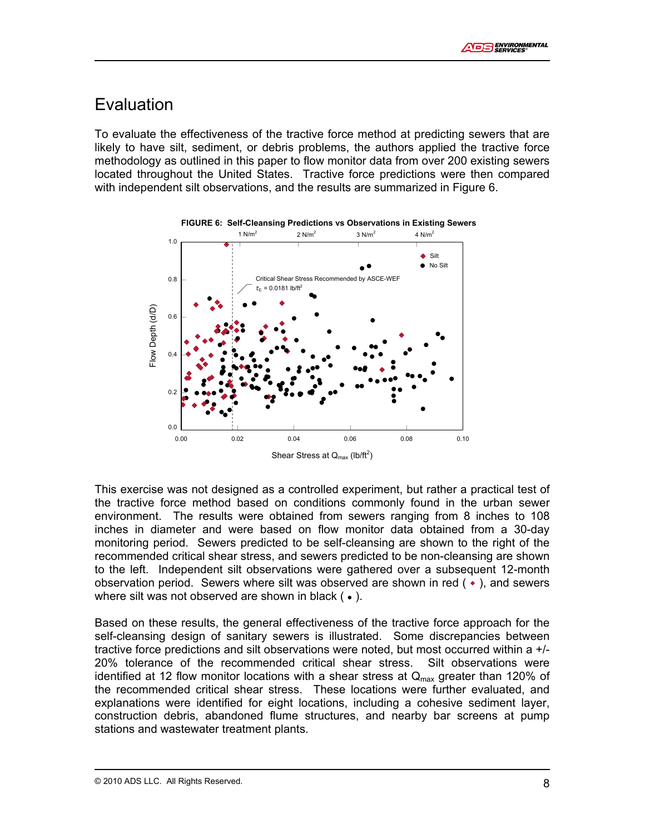# Evaluation

To evaluate the effectiveness of the tractive force method at predicting sewers that are likely to have silt, sediment, or debris problems, the authors applied the tractive force methodology as outlined in this paper to flow monitor data from over 200 existing sewers located throughout the United States. Tractive force predictions were then compared with independent silt observations, and the results are summarized in Figure 6.



This exercise was not designed as a controlled experiment, but rather a practical test of the tractive force method based on conditions commonly found in the urban sewer environment. The results were obtained from sewers ranging from 8 inches to 108 inches in diameter and were based on flow monitor data obtained from a 30-day monitoring period. Sewers predicted to be self-cleansing are shown to the right of the recommended critical shear stress, and sewers predicted to be non-cleansing are shown to the left. Independent silt observations were gathered over a subsequent 12-month observation period. Sewers where silt was observed are shown in red  $(*)$ , and sewers where silt was not observed are shown in black  $($ .

Based on these results, the general effectiveness of the tractive force approach for the self-cleansing design of sanitary sewers is illustrated. Some discrepancies between tractive force predictions and silt observations were noted, but most occurred within a +/- 20% tolerance of the recommended critical shear stress. Silt observations were identified at 12 flow monitor locations with a shear stress at  $Q_{\text{max}}$  greater than 120% of the recommended critical shear stress. These locations were further evaluated, and explanations were identified for eight locations, including a cohesive sediment layer, construction debris, abandoned flume structures, and nearby bar screens at pump stations and wastewater treatment plants.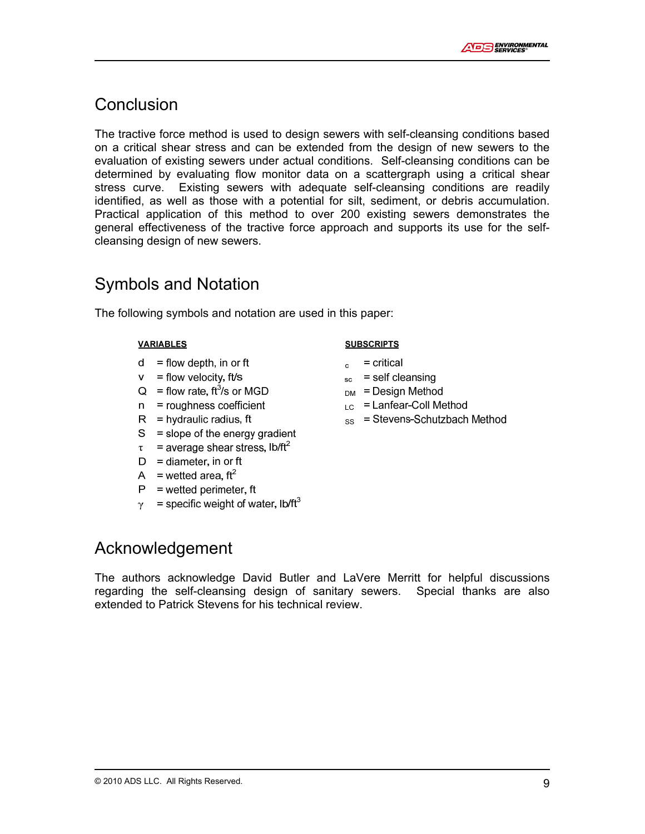

# **Conclusion**

The tractive force method is used to design sewers with self-cleansing conditions based on a critical shear stress and can be extended from the design of new sewers to the evaluation of existing sewers under actual conditions. Self-cleansing conditions can be determined by evaluating flow monitor data on a scattergraph using a critical shear stress curve. Existing sewers with adequate self-cleansing conditions are readily identified, as well as those with a potential for silt, sediment, or debris accumulation. Practical application of this method to over 200 existing sewers demonstrates the general effectiveness of the tractive force approach and supports its use for the selfcleansing design of new sewers.

# Symbols and Notation

The following symbols and notation are used in this paper:

#### **VARIABLES**

- $d = flow$  depth, in or ft
- $v =$  flow velocity, ft/s
- $Q =$  flow rate, ft<sup>3</sup>/s or MGD
- $n =$  roughness coefficient
- $R =$  hydraulic radius, ft
- $S = slope of the energy gradient$
- $\tau$  = average shear stress, lb/ft<sup>2</sup>
- $D =$  diameter, in or ft
- A = wetted area.  $\text{ft}^2$
- $P = w$ etted perimeter, ft
- $\gamma$  = specific weight of water, lb/ft<sup>3</sup>

### Acknowledgement

The authors acknowledge David Butler and LaVere Merritt for helpful discussions regarding the self-cleansing design of sanitary sewers. Special thanks are also extended to Patrick Stevens for his technical review.

#### **SUBSCRIPTS**

- $=$  critical  $\sim$
- $_{sc}$  = self cleansing
- $_{DM}$  = Design Method
- $_{LC}$  = Lanfear-Coll Method
- $_{\rm ss}$  = Stevens-Schutzbach Method